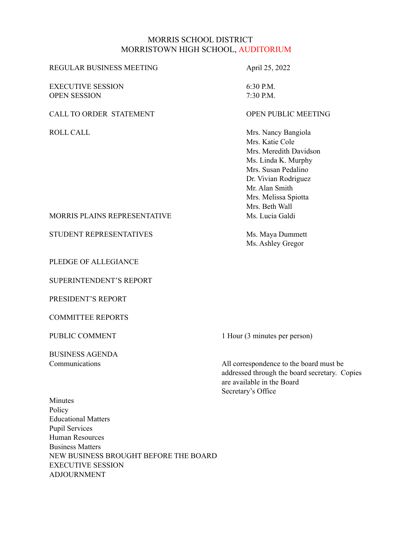#### MORRIS SCHOOL DISTRICT MORRISTOWN HIGH SCHOOL, AUDITORIUM

#### REGULAR BUSINESS MEETING April 25, 2022

EXECUTIVE SESSION 6:30 P.M. OPEN SESSION 7:30 P.M.

#### CALL TO ORDER STATEMENT **CALL TO OPEN PUBLIC MEETING**

ROLL CALL Mrs. Nancy Bangiola Mrs. Katie Cole Mrs. Meredith Davidson Ms. Linda K. Murphy Mrs. Susan Pedalino Dr. Vivian Rodriguez Mr. Alan Smith Mrs. Melissa Spiotta Mrs. Beth Wall MORRIS PLAINS REPRESENTATIVE MS. Lucia Galdi

Ms. Ashley Gregor

STUDENT REPRESENTATIVES Ms. Maya Dummett

PLEDGE OF ALLEGIANCE

SUPERINTENDENT'S REPORT

PRESIDENT'S REPORT

COMMITTEE REPORTS

BUSINESS AGENDA

PUBLIC COMMENT 1 Hour (3 minutes per person)

Communications All correspondence to the board must be addressed through the board secretary. Copies are available in the Board Secretary's Office

Minutes Policy Educational Matters Pupil Services Human Resources Business Matters NEW BUSINESS BROUGHT BEFORE THE BOARD EXECUTIVE SESSION ADJOURNMENT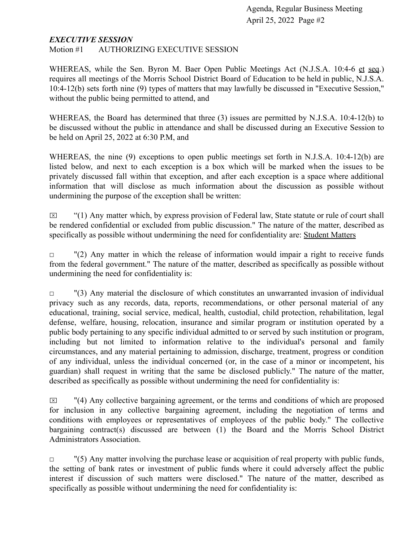#### *EXECUTIVE SESSION*

Motion #1 AUTHORIZING EXECUTIVE SESSION

WHEREAS, while the Sen. Byron M. Baer Open Public Meetings Act (N.J.S.A. 10:4-6 et seq.) requires all meetings of the Morris School District Board of Education to be held in public, N.J.S.A. 10:4-12(b) sets forth nine (9) types of matters that may lawfully be discussed in "Executive Session," without the public being permitted to attend, and

WHEREAS, the Board has determined that three (3) issues are permitted by N.J.S.A. 10:4-12(b) to be discussed without the public in attendance and shall be discussed during an Executive Session to be held on April 25, 2022 at 6:30 P.M, and

WHEREAS, the nine (9) exceptions to open public meetings set forth in N.J.S.A. 10:4-12(b) are listed below, and next to each exception is a box which will be marked when the issues to be privately discussed fall within that exception, and after each exception is a space where additional information that will disclose as much information about the discussion as possible without undermining the purpose of the exception shall be written:

 $\boxtimes$  "(1) Any matter which, by express provision of Federal law, State statute or rule of court shall be rendered confidential or excluded from public discussion." The nature of the matter, described as specifically as possible without undermining the need for confidentiality are: Student Matters

 $\Box$  "(2) Any matter in which the release of information would impair a right to receive funds from the federal government." The nature of the matter, described as specifically as possible without undermining the need for confidentiality is:

 $\Box$  "(3) Any material the disclosure of which constitutes an unwarranted invasion of individual privacy such as any records, data, reports, recommendations, or other personal material of any educational, training, social service, medical, health, custodial, child protection, rehabilitation, legal defense, welfare, housing, relocation, insurance and similar program or institution operated by a public body pertaining to any specific individual admitted to or served by such institution or program, including but not limited to information relative to the individual's personal and family circumstances, and any material pertaining to admission, discharge, treatment, progress or condition of any individual, unless the individual concerned (or, in the case of a minor or incompetent, his guardian) shall request in writing that the same be disclosed publicly." The nature of the matter, described as specifically as possible without undermining the need for confidentiality is:

 $\boxtimes$  "(4) Any collective bargaining agreement, or the terms and conditions of which are proposed for inclusion in any collective bargaining agreement, including the negotiation of terms and conditions with employees or representatives of employees of the public body." The collective bargaining contract(s) discussed are between (1) the Board and the Morris School District Administrators Association.

 $\Box$  "(5) Any matter involving the purchase lease or acquisition of real property with public funds, the setting of bank rates or investment of public funds where it could adversely affect the public interest if discussion of such matters were disclosed." The nature of the matter, described as specifically as possible without undermining the need for confidentiality is: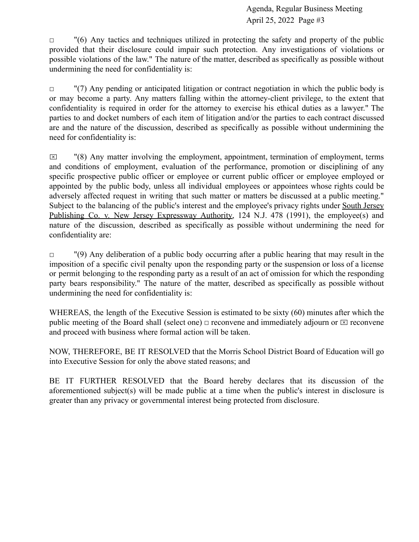$\Box$  "(6) Any tactics and techniques utilized in protecting the safety and property of the public provided that their disclosure could impair such protection. Any investigations of violations or possible violations of the law." The nature of the matter, described as specifically as possible without undermining the need for confidentiality is:

 $\Box$  "(7) Any pending or anticipated litigation or contract negotiation in which the public body is or may become a party. Any matters falling within the attorney-client privilege, to the extent that confidentiality is required in order for the attorney to exercise his ethical duties as a lawyer." The parties to and docket numbers of each item of litigation and/or the parties to each contract discussed are and the nature of the discussion, described as specifically as possible without undermining the need for confidentiality is:

 $\boxtimes$  "(8) Any matter involving the employment, appointment, termination of employment, terms and conditions of employment, evaluation of the performance, promotion or disciplining of any specific prospective public officer or employee or current public officer or employee employed or appointed by the public body, unless all individual employees or appointees whose rights could be adversely affected request in writing that such matter or matters be discussed at a public meeting." Subject to the balancing of the public's interest and the employee's privacy rights under South Jersey Publishing Co. v. New Jersey Expressway Authority, 124 N.J. 478 (1991), the employee(s) and nature of the discussion, described as specifically as possible without undermining the need for confidentiality are:

 $\Box$  "(9) Any deliberation of a public body occurring after a public hearing that may result in the imposition of a specific civil penalty upon the responding party or the suspension or loss of a license or permit belonging to the responding party as a result of an act of omission for which the responding party bears responsibility." The nature of the matter, described as specifically as possible without undermining the need for confidentiality is:

WHEREAS, the length of the Executive Session is estimated to be sixty (60) minutes after which the public meeting of the Board shall (select one)  $\Box$  reconvene and immediately adjourn or  $\Box$  reconvene and proceed with business where formal action will be taken.

NOW, THEREFORE, BE IT RESOLVED that the Morris School District Board of Education will go into Executive Session for only the above stated reasons; and

BE IT FURTHER RESOLVED that the Board hereby declares that its discussion of the aforementioned subject(s) will be made public at a time when the public's interest in disclosure is greater than any privacy or governmental interest being protected from disclosure.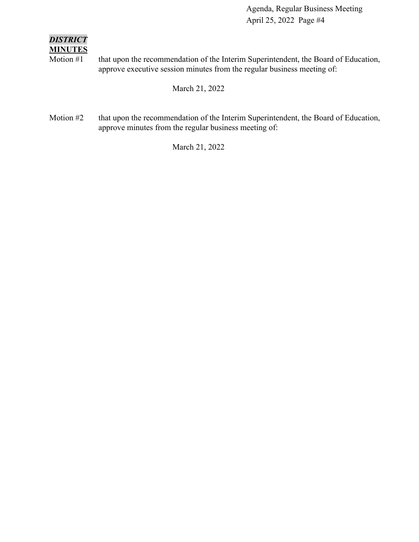#### *DISTRICT* **MINUTES**

Motion #1 that upon the recommendation of the Interim Superintendent, the Board of Education, approve executive session minutes from the regular business meeting of:

March 21, 2022

Motion #2 that upon the recommendation of the Interim Superintendent, the Board of Education, approve minutes from the regular business meeting of:

March 21, 2022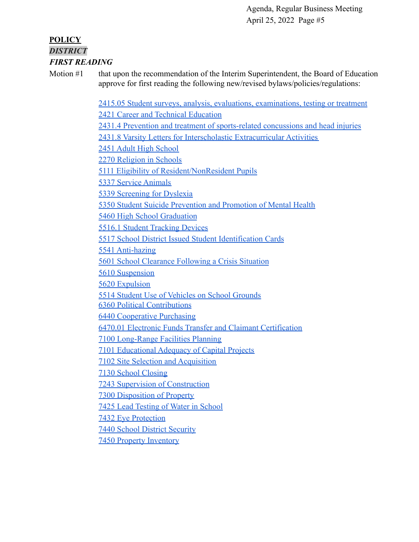#### **POLICY** *DISTRICT FIRST READING*

Motion #1 that upon the recommendation of the Interim Superintendent, the Board of Education approve for first reading the following new/revised bylaws/policies/regulations:

> [2415.05 Student surveys, analysis, evaluations, examinations, testing or treatment](https://docs.google.com/document/d/137gn3lVGXJeBsykUxIKXI6Z0CvRW0qoO/edit?usp=sharing&ouid=116999334560462810204&rtpof=true&sd=true) [2421 Career and Technical Education](https://drive.google.com/file/d/10QZY2hlljX5P96LrBwVkmtP5UmS3uGeO/view?usp=sharing) [2431.4 Prevention and treatment of sports-related concussions and head injuries](https://docs.google.com/document/d/1hnAutvBWPFqH3BDfYrmtHGgwxqp0C5ID/edit?usp=sharing&ouid=116999334560462810204&rtpof=true&sd=true) [2431.8 Varsity Letters for Interscholastic Extracurricular Activities](https://drive.google.com/file/d/1nLnHppj7X_5WbBiR6dkekrthXKXkYG97/view?usp=sharing) [2451 Adult High School](https://docs.google.com/document/d/1w1RHZjosXzmTC3wl9Ny76GPcIqKpG9iy/edit?usp=sharing&ouid=116999334560462810204&rtpof=true&sd=true) [2270 Religion in Schools](https://drive.google.com/file/d/1EF4w2YPIM6u8ExnK-Vn80b14zpDd4M7k/view?usp=sharing) [5111 Eligibility of Resident/NonResident Pupils](https://drive.google.com/file/d/11489mlO9FSx8TGTrJd5_eMjcIpKe1xCl/view?usp=sharing) [5337 Service Animals](https://drive.google.com/file/d/1icbbOS2TnCg0NAg_aCOTRAz0HvM_t9CH/view?usp=sharing) [5339 Screening for Dyslexia](https://drive.google.com/file/d/1BZRuF2yhDC3rm8iO96SHbUqYTIlkWOUb/view?usp=sharing) [5350 Student Suicide Prevention and Promotion of Mental Health](https://docs.google.com/document/d/1aIW0DOF_7SICrgv41iWgagS0O1lumj-n/edit?usp=sharing&ouid=116999334560462810204&rtpof=true&sd=true) [5460 High School Graduation](https://drive.google.com/file/d/1CC8jARyFXTJT8hAQajYNohcTAyasl9k2/view?usp=sharing) [5516.1 Student Tracking Devices](https://drive.google.com/file/d/1kuD49RSaBi1M8CcXWWQsSneXYjaZjoAY/view?usp=sharing) [5517 School District Issued Student Identification Cards](https://drive.google.com/file/d/1DjLtssvVAVP46H7cGf4JcfmbKdAFhIvD/view?usp=sharing) [5541 Anti-hazing](https://drive.google.com/file/d/1mRNrU5tuqzqgTLTxqgN7OkWPNjXB_mRN/view?usp=sharing) [5601 School Clearance Following a Crisis Situation](https://drive.google.com/file/d/1ess1zh0K_P_TRDTbYPzBAP1JEWchgRnX/view?usp=sharing) [5610 Suspension](https://drive.google.com/file/d/1nGebrIJm3X_GQKDAf_sAz6m9zKvCFJsv/view?usp=sharing) [5620 Expulsion](https://drive.google.com/file/d/17dEGZqBq3QNiKyPQluebZgD8O9cDrI2b/view?usp=sharing) [5514 Student Use of Vehicles on School Grounds](https://drive.google.com/file/d/1rzB1nDh4nowsY5bU4lTg55MXntXj7rDu/view?usp=sharing) [6360 Political Contributions](https://drive.google.com/file/d/15TyRUSWqTc8oyxGFTj3z9dGmMMTYFhKU/view?usp=sharing) [6440 Cooperative Purchasing](https://drive.google.com/file/d/1CePq51sKdQblPniv6qFnurbLKkJEWp0t/view?usp=sharing) [6470.01 Electronic Funds Transfer and Claimant Certification](https://drive.google.com/file/d/1b2pWaslzty9-rT7k8GkVrBYqo24WDAvD/view?usp=sharing) [7100 Long-Range Facilities Planning](https://drive.google.com/file/d/1ikgOYg87ObPrVGn9cQ13v2Kg4Mf2QxNj/view?usp=sharing) [7101 Educational Adequacy of Capital Projects](https://drive.google.com/file/d/1p_tavn4i-MaTwNGGNC-dfLHK8mgotMhF/view?usp=sharing) [7102 Site Selection and Acquisition](https://drive.google.com/file/d/1kZG7PSGSYC-z4a3sbKwd6byiQIZa4_MS/view?usp=sharing) [7130 School Closing](https://drive.google.com/file/d/1qpcD3ILVzGn9oZBbZsiHBeK7WDkVDWe6/view?usp=sharing) [7243 Supervision of Construction](https://drive.google.com/file/d/1l1P9LrREjQUhfaxCzPTmlEbStDh9Gep8/view?usp=sharing) [7300 Disposition of Property](https://drive.google.com/file/d/1t74jkrjbaenV31PpBPu5azqCOhlUZj__/view?usp=sharing) [7425 Lead Testing of Water in School](https://drive.google.com/file/d/1y7fK_I41bJ-wfXW3xM0mXMt53559naXZ/view?usp=sharing) [7432 Eye Protection](https://drive.google.com/file/d/1sr17OBd90kJxXKeLV_5igzveIaXJL0Fi/view?usp=sharing) [7440 School District Security](https://drive.google.com/file/d/1BEiqbDTmTiJOVPfFapOgecPPEYevscJX/view?usp=sharing)

[7450 Property Inventory](https://drive.google.com/file/d/1tTPpeVJvNFQAgOce3VsBwnbvioW77dRg/view?usp=sharing)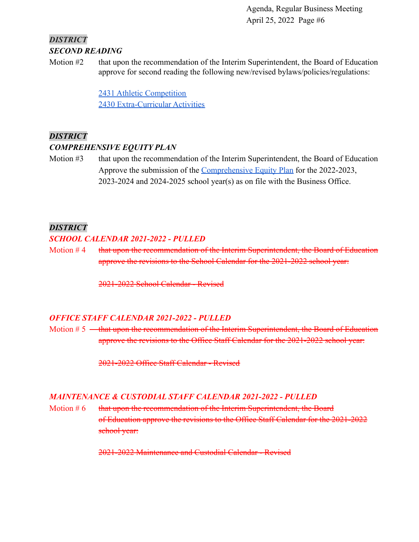# *DISTRICT SECOND READING*

Motion #2 that upon the recommendation of the Interim Superintendent, the Board of Education approve for second reading the following new/revised bylaws/policies/regulations:

> [2431 Athletic Competition](https://drive.google.com/file/d/1LmOawvT-oRI4H_1IKEaBG97W3ykBFQuA/view?usp=sharing) [2430 Extra-Curricular Activities](https://drive.google.com/file/d/13HJ7AHkN9EqYbHJa7gwzJQLY1GN56-2e/view?usp=sharing)

# *DISTRICT*

#### *COMPREHENSIVE EQUITY PLAN*

Motion #3 that upon the recommendation of the Interim Superintendent, the Board of Education Approve the submission of the [Comprehensive Equity](https://drive.google.com/file/d/1sIFjTrk90C5X_6Z1v__A3T2vN7mjj2c9/view?usp=sharing) Plan for the 2022-2023, 2023-2024 and 2024-2025 school year(s) as on file with the Business Office.

# *DISTRICT*

#### *SCHOOL CALENDAR 2021-2022 - PULLED*

Motion  $#4$  that upon the recommendation of the Interim Superintendent, the Board of Education approve the revisions to the School Calendar for the 2021-2022 school year:

2021-2022 School Calendar - Revised

# *OFFICE STAFF CALENDAR 2021-2022 - PULLED*

Motion  $# 5$   $\rightarrow$  that upon the recommendation of the Interim Superintendent, the Board of Education approve the revisions to the Office Staff Calendar for the 2021-2022 school year:

2021-2022 Office Staff Calendar - Revised

# *MAINTENANCE & CUSTODIAL STAFF CALENDAR 2021-2022 - PULLED*

Motion  $# 6$  that upon the recommendation of the Interim Superintendent, the Board of Education approve the revisions to the Office Staff Calendar for the 2021-2022 school year:

2021-2022 Maintenance and Custodial Calendar - Revised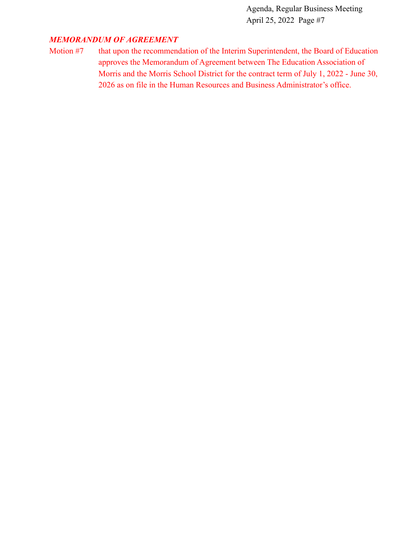#### *MEMORANDUM OF AGREEMENT*

Motion #7 that upon the recommendation of the Interim Superintendent, the Board of Education approves the Memorandum of Agreement between The Education Association of Morris and the Morris School District for the contract term of July 1, 2022 - June 30, 2026 as on file in the Human Resources and Business Administrator's office.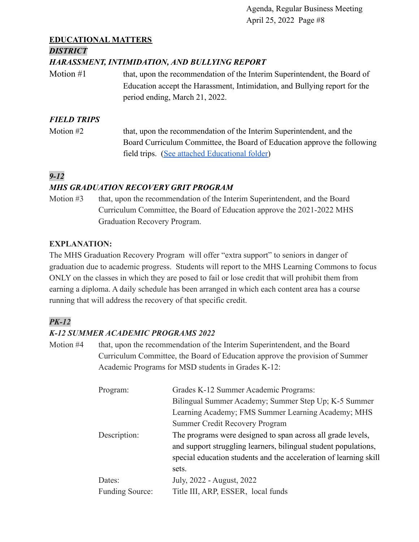# **EDUCATIONAL MATTERS**

#### *DISTRICT*

#### *HARASSMENT, INTIMIDATION, AND BULLYING REPORT*

Motion #1 that, upon the recommendation of the Interim Superintendent, the Board of Education accept the Harassment, Intimidation, and Bullying report for the period ending, March 21, 2022.

# *FIELD TRIPS*

Motion #2 that, upon the recommendation of the Interim Superintendent, and the Board Curriculum Committee, the Board of Education approve the following field trips. [\(See attached Educational folder\)](https://drive.google.com/file/d/181cgp9dyx9G2qPBP5IAtgtQAEc0n5y2z/view?usp=sharing)

# *9-12*

# *MHS GRADUATION RECOVERY GRIT PROGRAM*

Motion #3 that, upon the recommendation of the Interim Superintendent, and the Board Curriculum Committee, the Board of Education approve the 2021-2022 MHS Graduation Recovery Program.

#### **EXPLANATION:**

The MHS Graduation Recovery Program will offer "extra support" to seniors in danger of graduation due to academic progress. Students will report to the MHS Learning Commons to focus ONLY on the classes in which they are posed to fail or lose credit that will prohibit them from earning a diploma. A daily schedule has been arranged in which each content area has a course running that will address the recovery of that specific credit.

# *PK-12*

# *K-12 SUMMER ACADEMIC PROGRAMS 2022*

Motion #4 that, upon the recommendation of the Interim Superintendent, and the Board Curriculum Committee, the Board of Education approve the provision of Summer Academic Programs for MSD students in Grades K-12:

| Program:               | Grades K-12 Summer Academic Programs:                             |
|------------------------|-------------------------------------------------------------------|
|                        | Bilingual Summer Academy; Summer Step Up; K-5 Summer              |
|                        | Learning Academy; FMS Summer Learning Academy; MHS                |
|                        | <b>Summer Credit Recovery Program</b>                             |
| Description:           | The programs were designed to span across all grade levels,       |
|                        | and support struggling learners, bilingual student populations,   |
|                        | special education students and the acceleration of learning skill |
|                        | sets.                                                             |
| Dates:                 | July, 2022 - August, 2022                                         |
| <b>Funding Source:</b> | Title III, ARP, ESSER, local funds                                |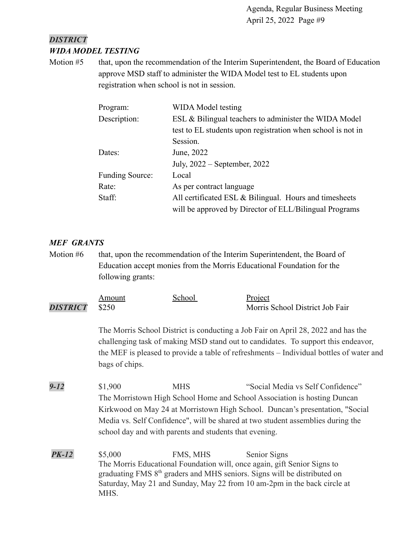# *DISTRICT WIDA MODEL TESTING*

Motion #5 that, upon the recommendation of the Interim Superintendent, the Board of Education approve MSD staff to administer the WIDA Model test to EL students upon registration when school is not in session.

| Program:               | WIDA Model testing                                          |
|------------------------|-------------------------------------------------------------|
| Description:           | ESL & Bilingual teachers to administer the WIDA Model       |
|                        | test to EL students upon registration when school is not in |
|                        | Session.                                                    |
| Dates:                 | June, 2022                                                  |
|                        | July, $2022$ – September, 2022                              |
| <b>Funding Source:</b> | Local                                                       |
| Rate:                  | As per contract language                                    |
| Staff:                 | All certificated ESL $\&$ Bilingual. Hours and timesheets   |
|                        | will be approved by Director of ELL/Bilingual Programs      |

# *MEF GRANTS*

Motion #6 that, upon the recommendation of the Interim Superintendent, the Board of Education accept monies from the Morris Educational Foundation for the following grants:

|                       | Amount | School | Project                         |
|-----------------------|--------|--------|---------------------------------|
| <b>DISTRICT</b> \$250 |        |        | Morris School District Job Fair |

The Morris School District is conducting a Job Fair on April 28, 2022 and has the challenging task of making MSD stand out to candidates. To support this endeavor, the MEF is pleased to provide a table of refreshments – Individual bottles of water and bags of chips.

- *9-12* \$1,900 MHS "Social Media vs Self Confidence" The Morristown High School Home and School Association is hosting Duncan Kirkwood on May 24 at Morristown High School. Duncan's presentation, "Social Media vs. Self Confidence", will be shared at two student assemblies during the school day and with parents and students that evening.
- **PK-12** \$5,000 FMS, MHS Senior Signs The Morris Educational Foundation will, once again, gift Senior Signs to graduating FMS 8th graders and MHS seniors. Signs will be distributed on Saturday, May 21 and Sunday, May 22 from 10 am-2pm in the back circle at MHS.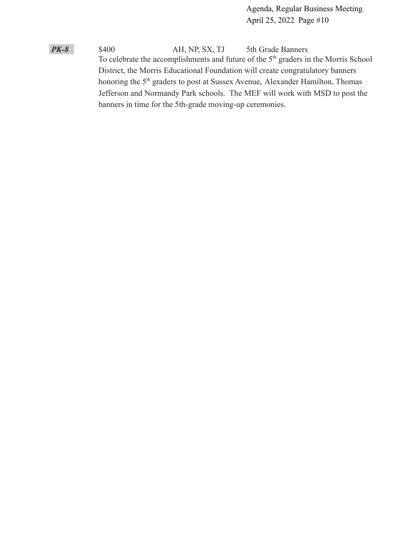*PK-8* \$400 AH, NP, SX, TJ 5th Grade Banners To celebrate the accomplishments and future of the 5<sup>th</sup> graders in the Morris School District, the Morris Educational Foundation will create congratulatory banners honoring the 5<sup>th</sup> graders to post at Sussex Avenue, Alexander Hamilton, Thomas Jefferson and Normandy Park schools. The MEF will work with MSD to post the banners in time for the 5th-grade moving-up ceremonies.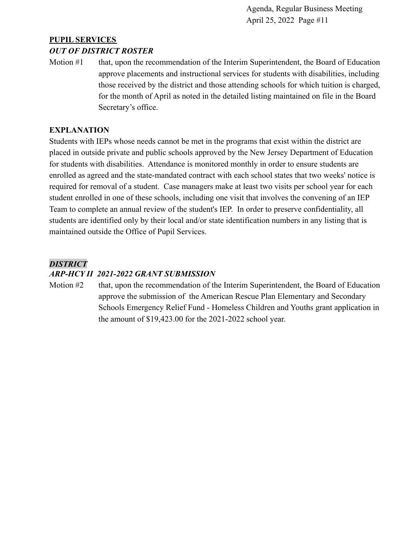# **PUPIL SERVICES**

#### *OUT OF DISTRICT ROSTER*

Motion #1 that, upon the recommendation of the Interim Superintendent, the Board of Education approve placements and instructional services for students with disabilities, including those received by the district and those attending schools for which tuition is charged, for the month of April as noted in the detailed listing maintained on file in the Board Secretary's office.

#### **EXPLANATION**

Students with IEPs whose needs cannot be met in the programs that exist within the district are placed in outside private and public schools approved by the New Jersey Department of Education for students with disabilities. Attendance is monitored monthly in order to ensure students are enrolled as agreed and the state-mandated contract with each school states that two weeks' notice is required for removal of a student. Case managers make at least two visits per school year for each student enrolled in one of these schools, including one visit that involves the convening of an IEP Team to complete an annual review of the student's IEP. In order to preserve confidentiality, all students are identified only by their local and/or state identification numbers in any listing that is maintained outside the Office of Pupil Services.

# *DISTRICT*

#### *ARP-HCY II 2021-2022 GRANT SUBMISSION*

Motion #2 that, upon the recommendation of the Interim Superintendent, the Board of Education approve the submission of the American Rescue Plan Elementary and Secondary Schools Emergency Relief Fund - Homeless Children and Youths grant application in the amount of \$19,423.00 for the 2021-2022 school year.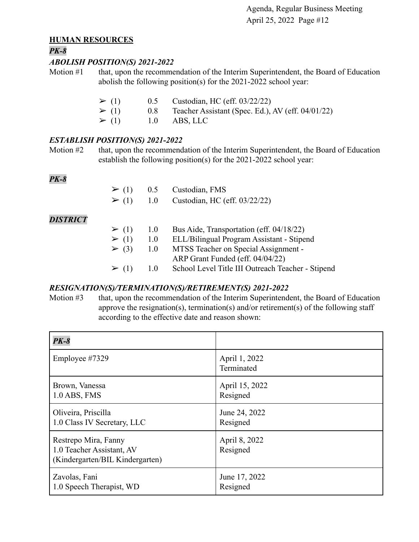#### **HUMAN RESOURCES**

#### *PK-8*

#### *ABOLISH POSITION(S) 2021-2022*

Motion #1 that, upon the recommendation of the Interim Superintendent, the Board of Education abolish the following position(s) for the 2021-2022 school year:

| $\geq (1)$ | 0.5 | Custodian, HC (eff. $03/22/22$ )                  |
|------------|-----|---------------------------------------------------|
| $\geq (1)$ | 0.8 | Teacher Assistant (Spec. Ed.), AV (eff. 04/01/22) |
| $\geq (1)$ |     | $1.0$ ABS, LLC                                    |

#### *ESTABLISH POSITION(S) 2021-2022*

Motion #2 that, upon the recommendation of the Interim Superintendent, the Board of Education establish the following position(s) for the 2021-2022 school year:

# *PK-8*

|  | $\geq$ (1) 0.5 Custodian, FMS<br>$\geq$ (1) 1.0 Custodian, HC (eff. 03/22/22) |  |
|--|-------------------------------------------------------------------------------|--|
|  |                                                                               |  |

# *DISTRICT*

| $\geq (1)$ | 1.0 | Bus Aide, Transportation (eff. 04/18/22)          |
|------------|-----|---------------------------------------------------|
| $\geq (1)$ | 1.0 | ELL/Bilingual Program Assistant - Stipend         |
| $\geq (3)$ | 1.0 | MTSS Teacher on Special Assignment -              |
|            |     | ARP Grant Funded (eff. 04/04/22)                  |
| $\geq (1)$ | 10  | School Level Title III Outreach Teacher - Stipend |

# *RESIGNATION(S)/TERMINATION(S)/RETIREMENT(S) 2021-2022*

Motion #3 that, upon the recommendation of the Interim Superintendent, the Board of Education approve the resignation(s), termination(s) and/or retirement(s) of the following staff according to the effective date and reason shown:

| $PK-8$                                                                               |                             |
|--------------------------------------------------------------------------------------|-----------------------------|
| Employee #7329                                                                       | April 1, 2022<br>Terminated |
| Brown, Vanessa                                                                       | April 15, 2022              |
| 1.0 ABS, FMS                                                                         | Resigned                    |
| Oliveira, Priscilla                                                                  | June 24, 2022               |
| 1.0 Class IV Secretary, LLC                                                          | Resigned                    |
| Restrepo Mira, Fanny<br>1.0 Teacher Assistant, AV<br>(Kindergarten/BIL Kindergarten) | April 8, 2022<br>Resigned   |
| Zavolas, Fani                                                                        | June 17, 2022               |
| 1.0 Speech Therapist, WD                                                             | Resigned                    |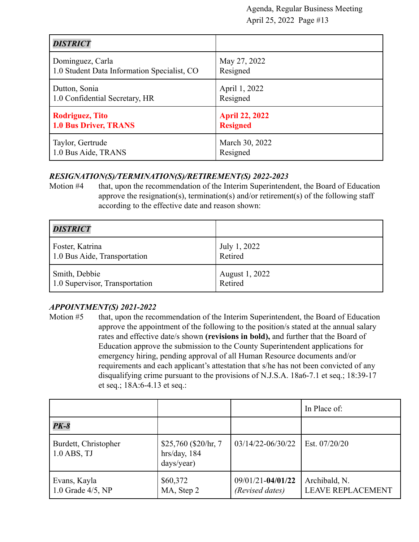| <b>DISTRICT</b>                             |                       |
|---------------------------------------------|-----------------------|
| Dominguez, Carla                            | May 27, 2022          |
| 1.0 Student Data Information Specialist, CO | Resigned              |
| Dutton, Sonia                               | April 1, 2022         |
| 1.0 Confidential Secretary, HR              | Resigned              |
| <b>Rodriguez, Tito</b>                      | <b>April 22, 2022</b> |
| <b>1.0 Bus Driver, TRANS</b>                | <b>Resigned</b>       |
| Taylor, Gertrude                            | March 30, 2022        |
| 1.0 Bus Aide, TRANS                         | Resigned              |

#### *RESIGNATION(S)/TERMINATION(S)/RETIREMENT(S) 2022-2023*

Motion #4 that, upon the recommendation of the Interim Superintendent, the Board of Education approve the resignation(s), termination(s) and/or retirement(s) of the following staff according to the effective date and reason shown:

| <b>DISTRICT</b>                |                |
|--------------------------------|----------------|
| Foster, Katrina                | July 1, 2022   |
| 1.0 Bus Aide, Transportation   | Retired        |
| Smith, Debbie                  | August 1, 2022 |
| 1.0 Supervisor, Transportation | Retired        |

# *APPOINTMENT(S) 2021-2022*

Motion #5 that, upon the recommendation of the Interim Superintendent, the Board of Education approve the appointment of the following to the position/s stated at the annual salary rates and effective date/s shown **(revisions in bold),** and further that the Board of Education approve the submission to the County Superintendent applications for emergency hiring, pending approval of all Human Resource documents and/or requirements and each applicant's attestation that s/he has not been convicted of any disqualifying crime pursuant to the provisions of N.J.S.A. 18a6-7.1 et seq.; 18:39-17 et seq.; 18A:6-4.13 et seq.:

|                                       |                                                     |                                          | In Place of:                              |
|---------------------------------------|-----------------------------------------------------|------------------------------------------|-------------------------------------------|
| $PK-8$                                |                                                     |                                          |                                           |
| Burdett, Christopher<br>$1.0$ ABS, TJ | \$25,760 (\$20/hr, 7)<br>hrs/day, 184<br>days/year) | $03/14/22 - 06/30/22$                    | Est. 07/20/20                             |
| Evans, Kayla<br>1.0 Grade $4/5$ , NP  | \$60,372<br>MA, Step 2                              | $09/01/21 - 04/01/22$<br>(Revised dates) | Archibald, N.<br><b>LEAVE REPLACEMENT</b> |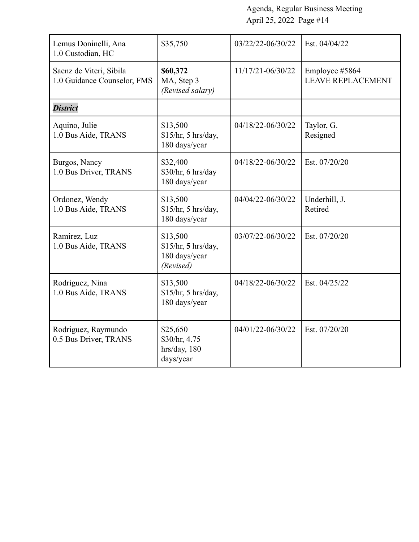| Lemus Doninelli, Ana<br>1.0 Custodian, HC              | \$35,750                                                      | 03/22/22-06/30/22 | Est. 04/04/22                              |
|--------------------------------------------------------|---------------------------------------------------------------|-------------------|--------------------------------------------|
| Saenz de Viteri, Sibila<br>1.0 Guidance Counselor, FMS | \$60,372<br>MA, Step 3<br>(Revised salary)                    | 11/17/21-06/30/22 | Employee #5864<br><b>LEAVE REPLACEMENT</b> |
| <b>District</b>                                        |                                                               |                   |                                            |
| Aquino, Julie<br>1.0 Bus Aide, TRANS                   | \$13,500<br>\$15/hr, 5 hrs/day,<br>180 days/year              | 04/18/22-06/30/22 | Taylor, G.<br>Resigned                     |
| Burgos, Nancy<br>1.0 Bus Driver, TRANS                 | \$32,400<br>\$30/hr, 6 hrs/day<br>180 days/year               | 04/18/22-06/30/22 | Est. 07/20/20                              |
| Ordonez, Wendy<br>1.0 Bus Aide, TRANS                  | \$13,500<br>\$15/hr, 5 hrs/day,<br>180 days/year              | 04/04/22-06/30/22 | Underhill, J.<br>Retired                   |
| Ramirez, Luz<br>1.0 Bus Aide, TRANS                    | \$13,500<br>\$15/hr, 5 hrs/day,<br>180 days/year<br>(Revised) | 03/07/22-06/30/22 | Est. 07/20/20                              |
| Rodriguez, Nina<br>1.0 Bus Aide, TRANS                 | \$13,500<br>\$15/hr, 5 hrs/day,<br>180 days/year              | 04/18/22-06/30/22 | Est. 04/25/22                              |
| Rodriguez, Raymundo<br>0.5 Bus Driver, TRANS           | \$25,650<br>\$30/hr, 4.75<br>hrs/day, 180<br>days/year        | 04/01/22-06/30/22 | Est. 07/20/20                              |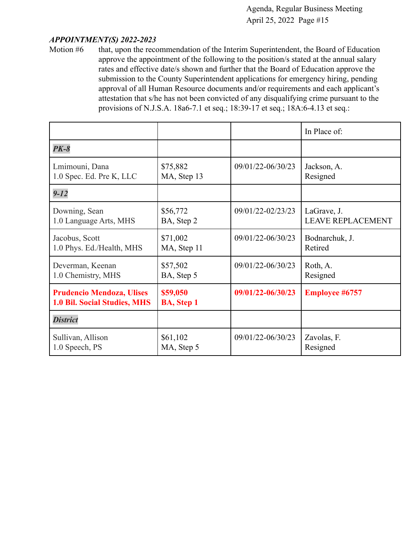#### *APPOINTMENT(S) 2022-2023*

Motion #6 that, upon the recommendation of the Interim Superintendent, the Board of Education approve the appointment of the following to the position/s stated at the annual salary rates and effective date/s shown and further that the Board of Education approve the submission to the County Superintendent applications for emergency hiring, pending approval of all Human Resource documents and/or requirements and each applicant's attestation that s/he has not been convicted of any disqualifying crime pursuant to the provisions of N.J.S.A. 18a6-7.1 et seq.; 18:39-17 et seq.; 18A:6-4.13 et seq.:

|                                                                         |                               |                   | In Place of:             |
|-------------------------------------------------------------------------|-------------------------------|-------------------|--------------------------|
| $PK-8$                                                                  |                               |                   |                          |
| Lmimouni, Dana                                                          | \$75,882                      | 09/01/22-06/30/23 | Jackson, A.              |
| 1.0 Spec. Ed. Pre K, LLC                                                | MA, Step 13                   |                   | Resigned                 |
| $9 - 12$                                                                |                               |                   |                          |
| Downing, Sean                                                           | \$56,772                      | 09/01/22-02/23/23 | LaGrave, J.              |
| 1.0 Language Arts, MHS                                                  | BA, Step 2                    |                   | <b>LEAVE REPLACEMENT</b> |
| Jacobus, Scott                                                          | \$71,002                      | 09/01/22-06/30/23 | Bodnarchuk, J.           |
| 1.0 Phys. Ed./Health, MHS                                               | MA, Step 11                   |                   | Retired                  |
| Deverman, Keenan                                                        | \$57,502                      | 09/01/22-06/30/23 | Roth, A.                 |
| 1.0 Chemistry, MHS                                                      | BA, Step 5                    |                   | Resigned                 |
| <b>Prudencio Mendoza, Ulises</b><br><b>1.0 Bil. Social Studies, MHS</b> | \$59,050<br><b>BA, Step 1</b> | 09/01/22-06/30/23 | <b>Employee #6757</b>    |
| <b>District</b>                                                         |                               |                   |                          |
| Sullivan, Allison                                                       | \$61,102                      | 09/01/22-06/30/23 | Zavolas, F.              |
| 1.0 Speech, PS                                                          | MA, Step 5                    |                   | Resigned                 |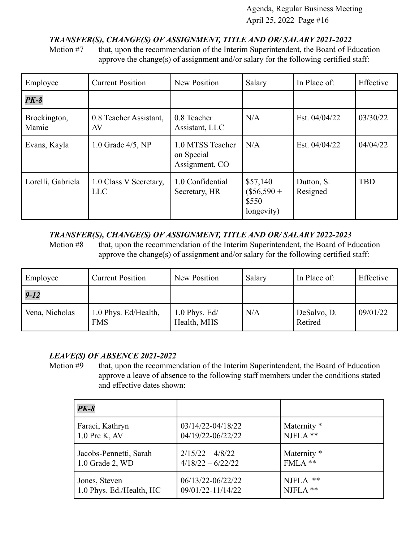# *TRANSFER(S), CHANGE(S) OF ASSIGNMENT, TITLE AND OR/ SALARY 2021-2022*

Motion #7 that, upon the recommendation of the Interim Superintendent, the Board of Education approve the change(s) of assignment and/or salary for the following certified staff:

| Employee              | <b>Current Position</b>              | New Position                                     | Salary                                           | In Place of:           | Effective  |
|-----------------------|--------------------------------------|--------------------------------------------------|--------------------------------------------------|------------------------|------------|
| $PK-8$                |                                      |                                                  |                                                  |                        |            |
| Brockington,<br>Mamie | 0.8 Teacher Assistant,<br>AV         | 0.8 Teacher<br>Assistant, LLC                    | N/A                                              | Est. 04/04/22          | 03/30/22   |
| Evans, Kayla          | 1.0 Grade $4/5$ , NP                 | 1.0 MTSS Teacher<br>on Special<br>Assignment, CO | N/A                                              | Est. 04/04/22          | 04/04/22   |
| Lorelli, Gabriela     | 1.0 Class V Secretary,<br><b>LLC</b> | 1.0 Confidential<br>Secretary, HR                | \$57,140<br>$(\$56,590 +$<br>\$550<br>longevity) | Dutton, S.<br>Resigned | <b>TBD</b> |

#### *TRANSFER(S), CHANGE(S) OF ASSIGNMENT, TITLE AND OR/ SALARY 2022-2023*

Motion #8 that, upon the recommendation of the Interim Superintendent, the Board of Education approve the change(s) of assignment and/or salary for the following certified staff:

| Employee       | <b>Current Position</b>            | New Position                   | Salary | In Place of:           | Effective |
|----------------|------------------------------------|--------------------------------|--------|------------------------|-----------|
| $9 - 12$       |                                    |                                |        |                        |           |
| Vena, Nicholas | 1.0 Phys. Ed/Health,<br><b>FMS</b> | $1.0$ Phys. Ed/<br>Health, MHS | N/A    | DeSalvo, D.<br>Retired | 09/01/22  |

# *LEAVE(S) OF ABSENCE 2021-2022*

Motion #9 that, upon the recommendation of the Interim Superintendent, the Board of Education approve a leave of absence to the following staff members under the conditions stated and effective dates shown:

| $PK-8$                   |                     |                        |
|--------------------------|---------------------|------------------------|
| Faraci, Kathryn          | 03/14/22-04/18/22   | Maternity <sup>*</sup> |
| $1.0$ Pre K, AV          | 04/19/22-06/22/22   | NJFLA **               |
| Jacobs-Pennetti, Sarah   | $2/15/22 - 4/8/22$  | Maternity <sup>*</sup> |
| 1.0 Grade 2, WD          | $4/18/22 - 6/22/22$ | FMLA **                |
| Jones, Steven            | 06/13/22-06/22/22   | NJFLA **               |
| 1.0 Phys. Ed./Health, HC | 09/01/22-11/14/22   | $NIFLA$ **             |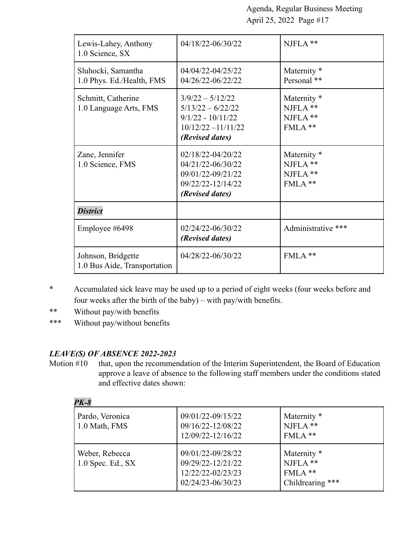| Lewis-Lahey, Anthony<br>1.0 Science, SX            | 04/18/22-06/30/22                                                                                            | NJFLA **                                                      |
|----------------------------------------------------|--------------------------------------------------------------------------------------------------------------|---------------------------------------------------------------|
| Sluhocki, Samantha<br>1.0 Phys. Ed./Health, FMS    | 04/04/22-04/25/22<br>04/26/22-06/22/22                                                                       | Maternity <sup>*</sup><br>Personal **                         |
| Schmitt, Catherine<br>1.0 Language Arts, FMS       | $3/9/22 - 5/12/22$<br>$5/13/22 - 6/22/22$<br>$9/1/22 - 10/11/22$<br>$10/12/22 - 11/11/22$<br>(Revised dates) | Maternity <sup>*</sup><br>$NIFLA$ **<br>$NIFLA$ **<br>FMLA ** |
| Zane, Jennifer<br>1.0 Science, FMS                 | 02/18/22-04/20/22<br>04/21/22-06/30/22<br>09/01/22-09/21/22<br>09/22/22-12/14/22<br>(Revised dates)          | Maternity <sup>*</sup><br>$NIFLA$ **<br>NJFLA **<br>FMLA**    |
| <b>District</b>                                    |                                                                                                              |                                                               |
| Employee #6498                                     | 02/24/22-06/30/22<br>(Revised dates)                                                                         | Administrative ***                                            |
| Johnson, Bridgette<br>1.0 Bus Aide, Transportation | 04/28/22-06/30/22                                                                                            | FMLA**                                                        |

- \* Accumulated sick leave may be used up to a period of eight weeks (four weeks before and four weeks after the birth of the baby) – with pay/with benefits.
- \*\* Without pay/with benefits
- \*\*\* Without pay/without benefits

# *LEAVE(S) OF ABSENCE 2022-2023*

*PK-8*

Motion #10 that, upon the recommendation of the Interim Superintendent, the Board of Education approve a leave of absence to the following staff members under the conditions stated and effective dates shown:

| г л-о                                 |                                                                                  |                                                                       |
|---------------------------------------|----------------------------------------------------------------------------------|-----------------------------------------------------------------------|
| Pardo, Veronica<br>1.0 Math, FMS      | 09/01/22-09/15/22<br>09/16/22-12/08/22<br>12/09/22-12/16/22                      | Maternity *<br>NJFLA **<br>$FMLA$ **                                  |
| Weber, Rebecca<br>$1.0$ Spec. Ed., SX | 09/01/22-09/28/22<br>09/29/22-12/21/22<br>12/22/22-02/23/23<br>02/24/23-06/30/23 | Maternity <sup>*</sup><br>$NIFLA$ **<br>$FMLA$ **<br>Childrearing *** |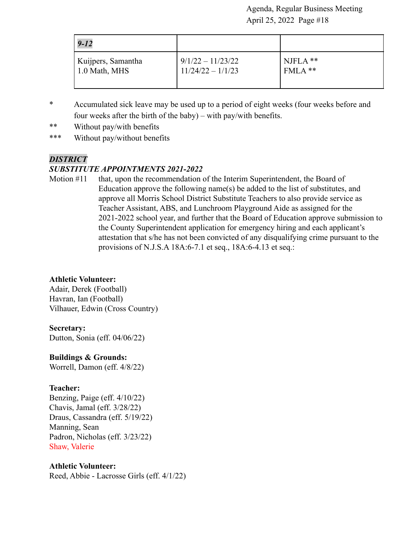| $9 - 12$           |                     |            |
|--------------------|---------------------|------------|
| Kuijpers, Samantha | $9/1/22 - 11/23/22$ | $NIFLA$ ** |
| 1.0 Math, MHS      | $11/24/22 - 1/1/23$ | FMLA **    |

- \* Accumulated sick leave may be used up to a period of eight weeks (four weeks before and four weeks after the birth of the baby) – with pay/with benefits.
- \*\* Without pay/with benefits
- \*\*\* Without pay/without benefits

# *DISTRICT*

#### *SUBSTITUTE APPOINTMENTS 2021-2022*

Motion #11 that, upon the recommendation of the Interim Superintendent, the Board of Education approve the following name(s) be added to the list of substitutes, and approve all Morris School District Substitute Teachers to also provide service as Teacher Assistant, ABS, and Lunchroom Playground Aide as assigned for the 2021-2022 school year, and further that the Board of Education approve submission to the County Superintendent application for emergency hiring and each applicant's attestation that s/he has not been convicted of any disqualifying crime pursuant to the provisions of N.J.S.A 18A:6-7.1 et seq., 18A:6-4.13 et seq.:

# **Athletic Volunteer:**

Adair, Derek (Football) Havran, Ian (Football) Vilhauer, Edwin (Cross Country)

#### **Secretary:**

Dutton, Sonia (eff. 04/06/22)

**Buildings & Grounds:**

Worrell, Damon (eff. 4/8/22)

#### **Teacher:**

Benzing, Paige (eff. 4/10/22) Chavis, Jamal (eff. 3/28/22) Draus, Cassandra (eff. 5/19/22) Manning, Sean Padron, Nicholas (eff. 3/23/22) Shaw, Valerie

# **Athletic Volunteer:**

Reed, Abbie - Lacrosse Girls (eff. 4/1/22)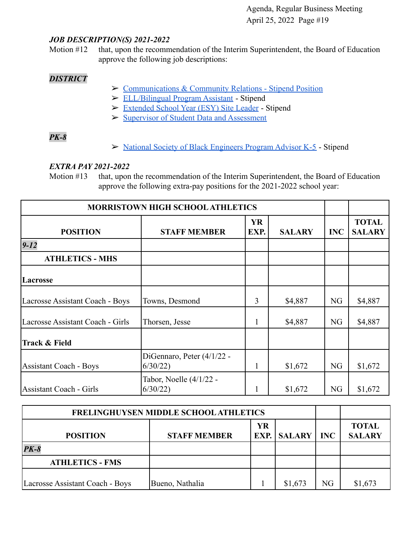#### *JOB DESCRIPTION(S) 2021-2022*

Motion #12 that, upon the recommendation of the Interim Superintendent, the Board of Education approve the following job descriptions:

# *DISTRICT*

- ➢ [Communications & Community Relations Stipend Position](https://drive.google.com/file/d/1ftC7GdzYHcMx3nHBf09orgGNDMFM4a22/view?usp=sharing)
- ➢ [ELL/Bilingual Program Assistant](https://drive.google.com/file/d/1VMVxBBeYkwJ6YX16dFBYQJl1taTpGIED/view?usp=sharing) Stipend
- ➢ [Extended School Year \(ESY\) Site Leader](https://drive.google.com/file/d/19x4OOk8mV2tHgD0TzltuJI4u8zuH_tR6/view?usp=sharing) Stipend
- ➢ [Supervisor of Student Data and Assessment](https://drive.google.com/file/d/1FMXKv0lsLbgsccSCY4sL_BZ0ZcMXFiUQ/view?usp=sharing)

# *PK-8*

➢ [National Society of Black Engineers Program Advisor K-5](https://drive.google.com/file/d/1AU4FINLj9qf80Jv1o03i7E-S3t33cZME/view?usp=sharing) - Stipend

#### *EXTRA PAY 2021-2022*

Motion #13 that, upon the recommendation of the Interim Superintendent, the Board of Education approve the following extra-pay positions for the 2021-2022 school year:

| <b>MORRISTOWN HIGH SCHOOL ATHLETICS</b> |                                         |                   |               |            |                               |
|-----------------------------------------|-----------------------------------------|-------------------|---------------|------------|-------------------------------|
| <b>POSITION</b>                         | <b>STAFF MEMBER</b>                     | <b>YR</b><br>EXP. | <b>SALARY</b> | <b>INC</b> | <b>TOTAL</b><br><b>SALARY</b> |
| $9 - 12$                                |                                         |                   |               |            |                               |
| <b>ATHLETICS - MHS</b>                  |                                         |                   |               |            |                               |
| Lacrosse                                |                                         |                   |               |            |                               |
| Lacrosse Assistant Coach - Boys         | Towns, Desmond                          | 3                 | \$4,887       | NG         | \$4,887                       |
| Lacrosse Assistant Coach - Girls        | Thorsen, Jesse                          |                   | \$4,887       | NG         | \$4,887                       |
| Track & Field                           |                                         |                   |               |            |                               |
| <b>Assistant Coach - Boys</b>           | DiGennaro, Peter $(4/1/22 -$<br>6/30/22 |                   | \$1,672       | NG         | \$1,672                       |
| Assistant Coach - Girls                 | Tabor, Noelle (4/1/22 -<br>6/30/22      |                   | \$1,672       | NG         | \$1,672                       |

| <b>FRELINGHUYSEN MIDDLE SCHOOL ATHLETICS</b> |                          |                               |         |    |         |
|----------------------------------------------|--------------------------|-------------------------------|---------|----|---------|
| <b>POSITION</b>                              | <b>EXP.</b> SALARY   INC | <b>TOTAL</b><br><b>SALARY</b> |         |    |         |
| $PK-8$                                       |                          |                               |         |    |         |
| <b>ATHLETICS - FMS</b>                       |                          |                               |         |    |         |
| Lacrosse Assistant Coach - Boys              | Bueno, Nathalia          |                               | \$1,673 | NG | \$1,673 |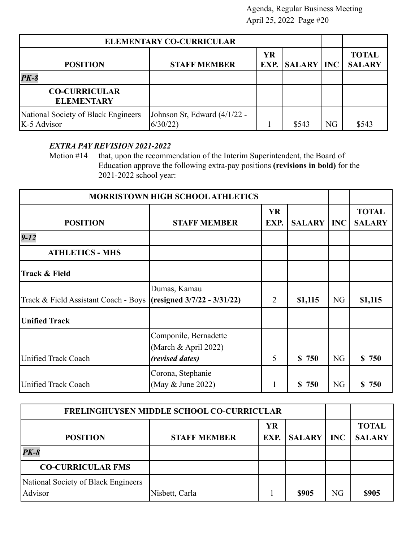| <b>ELEMENTARY CO-CURRICULAR</b>                      |                                         |    |                        |    |                               |
|------------------------------------------------------|-----------------------------------------|----|------------------------|----|-------------------------------|
| <b>POSITION</b>                                      | <b>STAFF MEMBER</b>                     | YR | <b>EXP.</b> SALARY INC |    | <b>TOTAL</b><br><b>SALARY</b> |
| $PK-8$                                               |                                         |    |                        |    |                               |
| <b>CO-CURRICULAR</b><br><b>ELEMENTARY</b>            |                                         |    |                        |    |                               |
| National Society of Black Engineers<br>$K-5$ Advisor | Johnson Sr, Edward (4/1/22 -<br>6/30/22 |    | \$543                  | NG | \$543                         |

# *EXTRA PAY REVISION 2021-2022*

Motion #14 that, upon the recommendation of the Interim Superintendent, the Board of Education approve the following extra-pay positions **(revisions in bold)** for the 2021-2022 school year:

| MORRISTOWN HIGH SCHOOL ATHLETICS                                 |                                                                         |                |                    |            |                               |
|------------------------------------------------------------------|-------------------------------------------------------------------------|----------------|--------------------|------------|-------------------------------|
| <b>POSITION</b>                                                  | <b>STAFF MEMBER</b>                                                     | YR<br>EXP.     | <b>SALARY</b>      | <b>INC</b> | <b>TOTAL</b><br><b>SALARY</b> |
| $9 - 12$                                                         |                                                                         |                |                    |            |                               |
| <b>ATHLETICS - MHS</b>                                           |                                                                         |                |                    |            |                               |
| Track & Field                                                    |                                                                         |                |                    |            |                               |
| Track & Field Assistant Coach - Boys (resigned 3/7/22 - 3/31/22) | Dumas, Kamau                                                            | $\overline{2}$ | \$1,115            | <b>NG</b>  | \$1,115                       |
| <b>Unified Track</b>                                             |                                                                         |                |                    |            |                               |
| Unified Track Coach                                              | Componile, Bernadette<br>(March & April 2022)<br><i>(revised dates)</i> | 5              | $\mathbf S$<br>750 | <b>NG</b>  | \$750                         |
| Unified Track Coach                                              | Corona, Stephanie<br>(May & June 2022)                                  | 1              | S.<br>750          | <b>NG</b>  | S.<br>750                     |

| FRELINGHUYSEN MIDDLE SCHOOL CO-CURRICULAR      |                     |            |               |            |                               |
|------------------------------------------------|---------------------|------------|---------------|------------|-------------------------------|
| <b>POSITION</b>                                | <b>STAFF MEMBER</b> | YR<br>EXP. | <b>SALARY</b> | <b>INC</b> | <b>TOTAL</b><br><b>SALARY</b> |
| $PK-8$                                         |                     |            |               |            |                               |
| <b>CO-CURRICULAR FMS</b>                       |                     |            |               |            |                               |
| National Society of Black Engineers<br>Advisor | Nisbett, Carla      |            | \$905         | NG         | \$905                         |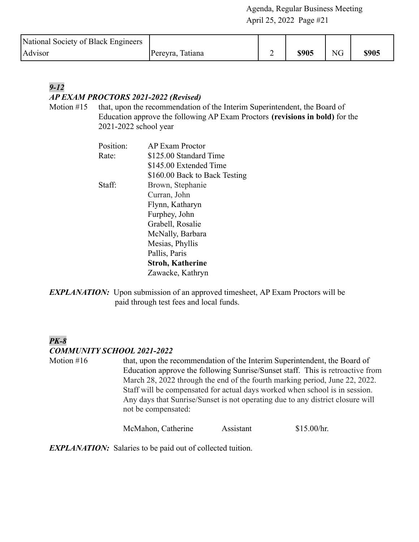| National Society of Black Engineers |                  |   |       |            |       |
|-------------------------------------|------------------|---|-------|------------|-------|
| <b>Advisor</b>                      | Pereyra, Tatiana | - | \$905 | ${\rm NG}$ | \$905 |

# *9-12 AP EXAM PROCTORS 2021-2022 (Revised)*

Motion #15 that, upon the recommendation of the Interim Superintendent, the Board of Education approve the following AP Exam Proctors **(revisions in bold)** for the 2021-2022 school year

| Position: | <b>AP Exam Proctor</b>        |
|-----------|-------------------------------|
| Rate:     | \$125.00 Standard Time        |
|           | \$145.00 Extended Time        |
|           | \$160.00 Back to Back Testing |
| Staff:    | Brown, Stephanie              |
|           | Curran, John                  |
|           | Flynn, Katharyn               |
|           | Furphey, John                 |
|           | Grabell, Rosalie              |
|           | McNally, Barbara              |
|           | Mesias, Phyllis               |
|           | Pallis, Paris                 |
|           | <b>Stroh, Katherine</b>       |
|           | Zawacke, Kathryn              |

**EXPLANATION:** Upon submission of an approved timesheet, AP Exam Proctors will be paid through test fees and local funds.

# *PK-8 COMMUNITY SCHOOL 2021-2022*

Motion #16 that, upon the recommendation of the Interim Superintendent, the Board of Education approve the following Sunrise/Sunset staff. This is retroactive from March 28, 2022 through the end of the fourth marking period, June 22, 2022. Staff will be compensated for actual days worked when school is in session. Any days that Sunrise/Sunset is not operating due to any district closure will not be compensated:

McMahon, Catherine Assistant \$15.00/hr.

*EXPLANATION:* Salaries to be paid out of collected tuition.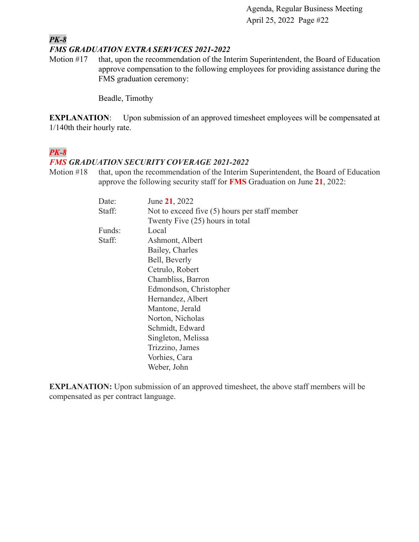#### *PK-8 FMS GRADUATION EXTRA SERVICES 2021-2022*

Motion #17 that, upon the recommendation of the Interim Superintendent, the Board of Education approve compensation to the following employees for providing assistance during the FMS graduation ceremony:

Beadle, Timothy

**EXPLANATION:** Upon submission of an approved timesheet employees will be compensated at 1/140th their hourly rate.

# *PK-8*

#### *FMS GRADUATION SECURITY COVERAGE 2021-2022*

Motion #18 that, upon the recommendation of the Interim Superintendent, the Board of Education approve the following security staff for **FMS** Graduation on June **21**, 2022:

| Date:  | June 21, 2022                                   |
|--------|-------------------------------------------------|
| Staff: | Not to exceed five $(5)$ hours per staff member |
|        | Twenty Five (25) hours in total                 |
| Funds: | Local                                           |
| Staff: | Ashmont, Albert                                 |
|        | Bailey, Charles                                 |
|        | Bell, Beverly                                   |
|        | Cetrulo, Robert                                 |
|        | Chambliss, Barron                               |
|        | Edmondson, Christopher                          |
|        | Hernandez, Albert                               |
|        | Mantone, Jerald                                 |
|        | Norton, Nicholas                                |
|        | Schmidt, Edward                                 |
|        | Singleton, Melissa                              |
|        | Trizzino, James                                 |
|        | Vorhies, Cara                                   |
|        | Weber, John                                     |

**EXPLANATION:** Upon submission of an approved timesheet, the above staff members will be compensated as per contract language.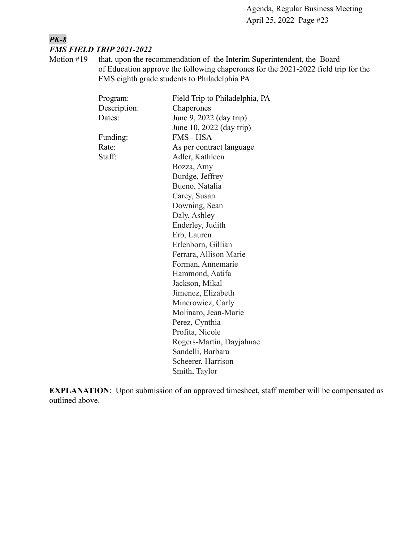# *PK-8 FMS FIELD TRIP 2021-2022*

Motion #19 that, upon the recommendation of the Interim Superintendent, the Board of Education approve the following chaperones for the 2021-2022 field trip for the FMS eighth grade students to Philadelphia PA

| Program:     | Field Trip to Philadelphia, PA |
|--------------|--------------------------------|
| Description: | Chaperones                     |
| Dates:       | June 9, 2022 (day trip)        |
|              | June 10, 2022 (day trip)       |
| Funding:     | FMS - HSA                      |
| Rate:        | As per contract language       |
| Staff:       | Adler, Kathleen                |
|              | Bozza, Amy                     |
|              | Burdge, Jeffrey                |
|              | Bueno, Natalia                 |
|              | Carey, Susan                   |
|              | Downing, Sean                  |
|              | Daly, Ashley                   |
|              | Enderley, Judith               |
|              | Erb, Lauren                    |
|              | Erlenborn, Gillian             |
|              | Ferrara, Allison Marie         |
|              | Forman, Annemarie              |
|              | Hammond, Aatifa                |
|              | Jackson, Mikal                 |
|              | Jimenez, Elizabeth             |
|              | Minerowicz, Carly              |
|              | Molinaro, Jean-Marie           |
|              | Perez, Cynthia                 |
|              | Profita, Nicole                |
|              | Rogers-Martin, Dayjahnae       |
|              | Sandelli, Barbara              |
|              | Scheerer, Harrison             |
|              | Smith, Taylor                  |
|              |                                |

**EXPLANATION**: Upon submission of an approved timesheet, staff member will be compensated as outlined above.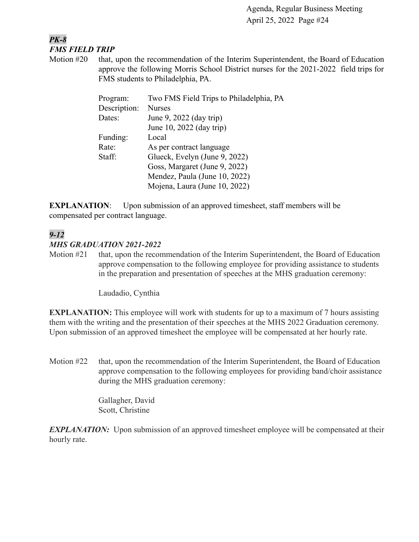#### *PK-8 FMS FIELD TRIP*

Motion #20 that, upon the recommendation of the Interim Superintendent, the Board of Education approve the following Morris School District nurses for the 2021-2022 field trips for FMS students to Philadelphia, PA.

| Program:     | Two FMS Field Trips to Philadelphia, PA |  |
|--------------|-----------------------------------------|--|
| Description: | <b>Nurses</b>                           |  |
| Dates:       | June 9, 2022 (day trip)                 |  |
|              | June 10, 2022 (day trip)                |  |
| Funding:     | Local                                   |  |
| Rate:        | As per contract language                |  |
| Staff:       | Glueck, Evelyn (June 9, 2022)           |  |
|              | Goss, Margaret (June 9, 2022)           |  |
|              | Mendez, Paula (June 10, 2022)           |  |
|              | Mojena, Laura (June 10, 2022)           |  |

**EXPLANATION:** Upon submission of an approved timesheet, staff members will be compensated per contract language.

# *9-12 MHS GRADUATION 2021-2022*

Motion #21 that, upon the recommendation of the Interim Superintendent, the Board of Education approve compensation to the following employee for providing assistance to students in the preparation and presentation of speeches at the MHS graduation ceremony:

Laudadio, Cynthia

**EXPLANATION:** This employee will work with students for up to a maximum of 7 hours assisting them with the writing and the presentation of their speeches at the MHS 2022 Graduation ceremony. Upon submission of an approved timesheet the employee will be compensated at her hourly rate.

Motion #22 that, upon the recommendation of the Interim Superintendent, the Board of Education approve compensation to the following employees for providing band/choir assistance during the MHS graduation ceremony:

> Gallagher, David Scott, Christine

*EXPLANATION:* Upon submission of an approved timesheet employee will be compensated at their hourly rate.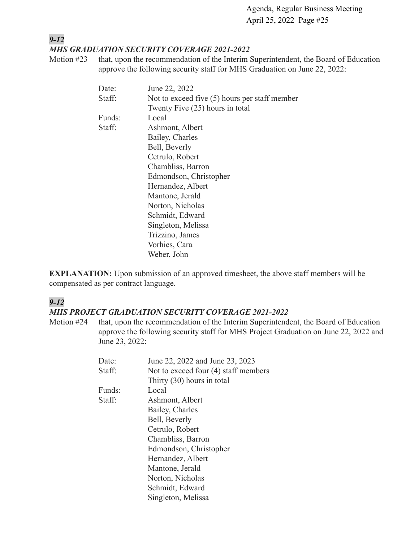#### *9-12 MHS GRADUATION SECURITY COVERAGE 2021-2022*

Motion #23 that, upon the recommendation of the Interim Superintendent, the Board of Education approve the following security staff for MHS Graduation on June 22, 2022:

| Date:  | June 22, 2022                                   |
|--------|-------------------------------------------------|
| Staff: | Not to exceed five $(5)$ hours per staff member |
|        | Twenty Five (25) hours in total                 |
| Funds: | Local                                           |
| Staff: | Ashmont, Albert                                 |
|        | Bailey, Charles                                 |
|        | Bell, Beverly                                   |
|        | Cetrulo, Robert                                 |
|        | Chambliss, Barron                               |
|        | Edmondson, Christopher                          |
|        | Hernandez, Albert                               |
|        | Mantone, Jerald                                 |
|        | Norton, Nicholas                                |
|        | Schmidt, Edward                                 |
|        | Singleton, Melissa                              |
|        | Trizzino, James                                 |
|        | Vorhies, Cara                                   |
|        | Weber, John                                     |

**EXPLANATION:** Upon submission of an approved timesheet, the above staff members will be compensated as per contract language.

# *9-12*

#### *MHS PROJECT GRADUATION SECURITY COVERAGE 2021-2022*

Motion #24 that, upon the recommendation of the Interim Superintendent, the Board of Education approve the following security staff for MHS Project Graduation on June 22, 2022 and June 23, 2022:

| Date:  | June 22, 2022 and June 23, 2023      |
|--------|--------------------------------------|
| Staff: | Not to exceed four (4) staff members |
|        | Thirty (30) hours in total           |
| Funds: | Local                                |
| Staff: | Ashmont, Albert                      |
|        | Bailey, Charles                      |
|        | Bell, Beverly                        |
|        | Cetrulo, Robert                      |
|        | Chambliss, Barron                    |
|        | Edmondson, Christopher               |
|        | Hernandez, Albert                    |
|        | Mantone, Jerald                      |
|        | Norton, Nicholas                     |
|        | Schmidt, Edward                      |
|        | Singleton, Melissa                   |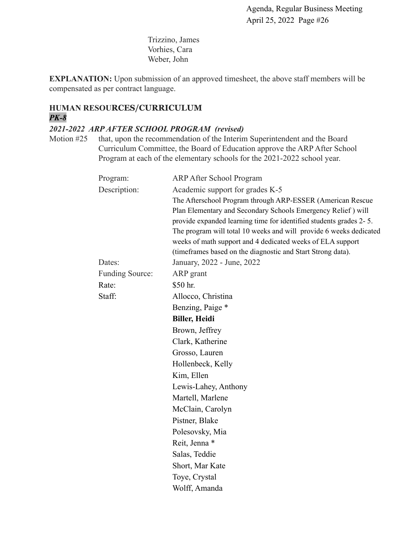Trizzino, James Vorhies, Cara Weber, John

**EXPLANATION:** Upon submission of an approved timesheet, the above staff members will be compensated as per contract language.

#### **HUMAN RESOURCES/CURRICULUM** *PK-8*

#### *2021-2022 ARP AFTER SCHOOL PROGRAM (revised)*

Motion #25 that, upon the recommendation of the Interim Superintendent and the Board Curriculum Committee, the Board of Education approve the ARP After School Program at each of the elementary schools for the 2021-2022 school year.

| Program:                               | <b>ARP After School Program</b>                                                                                                  |  |
|----------------------------------------|----------------------------------------------------------------------------------------------------------------------------------|--|
| Description:                           | Academic support for grades K-5                                                                                                  |  |
|                                        | The Afterschool Program through ARP-ESSER (American Rescue<br>Plan Elementary and Secondary Schools Emergency Relief) will       |  |
|                                        | provide expanded learning time for identified students grades 2-5.                                                               |  |
|                                        | The program will total 10 weeks and will provide 6 weeks dedicated<br>weeks of math support and 4 dedicated weeks of ELA support |  |
|                                        | (timeframes based on the diagnostic and Start Strong data).                                                                      |  |
| Dates:                                 | January, 2022 - June, 2022                                                                                                       |  |
| <b>Funding Source:</b>                 | ARP grant                                                                                                                        |  |
| Rate:                                  | \$50 hr.                                                                                                                         |  |
| Staff:                                 | Allocco, Christina                                                                                                               |  |
|                                        | Benzing, Paige *                                                                                                                 |  |
| <b>Biller, Heidi</b><br>Brown, Jeffrey |                                                                                                                                  |  |
|                                        |                                                                                                                                  |  |
|                                        | Grosso, Lauren                                                                                                                   |  |
|                                        | Hollenbeck, Kelly                                                                                                                |  |
|                                        | Kim, Ellen                                                                                                                       |  |
|                                        | Lewis-Lahey, Anthony                                                                                                             |  |
|                                        | Martell, Marlene                                                                                                                 |  |
|                                        | McClain, Carolyn                                                                                                                 |  |
|                                        | Pistner, Blake                                                                                                                   |  |
|                                        | Polesovsky, Mia                                                                                                                  |  |
|                                        | Reit, Jenna *                                                                                                                    |  |
|                                        | Salas, Teddie                                                                                                                    |  |
|                                        | Short, Mar Kate                                                                                                                  |  |
|                                        | Toye, Crystal                                                                                                                    |  |
|                                        | Wolff, Amanda                                                                                                                    |  |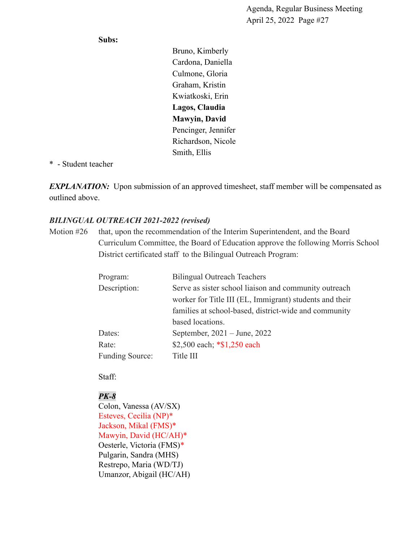#### **Subs:**

Bruno, Kimberly Cardona, Daniella Culmone, Gloria Graham, Kristin Kwiatkoski, Erin **Lagos, Claudia Mawyin, David** Pencinger, Jennifer Richardson, Nicole Smith, Ellis

#### \* - Student teacher

*EXPLANATION:* Upon submission of an approved timesheet, staff member will be compensated as outlined above.

# *BILINGUAL OUTREACH 2021-2022 (revised)*

Motion #26 that, upon the recommendation of the Interim Superintendent, and the Board Curriculum Committee, the Board of Education approve the following Morris School District certificated staff to the Bilingual Outreach Program:

| Program:               | <b>Bilingual Outreach Teachers</b>                      |  |
|------------------------|---------------------------------------------------------|--|
| Description:           | Serve as sister school liaison and community outreach   |  |
|                        | worker for Title III (EL, Immigrant) students and their |  |
|                        | families at school-based, district-wide and community   |  |
|                        | based locations.                                        |  |
| Dates:                 | September, $2021 - June$ , $2022$                       |  |
| Rate:                  | \$2,500 each; *\$1,250 each                             |  |
| <b>Funding Source:</b> | Title III                                               |  |

Staff:

# *PK-8*

Colon, Vanessa (AV/SX) Esteves, Cecilia (NP)\* Jackson, Mikal (FMS)\* Mawyin, David (HC/AH)\* Oesterle, Victoria (FMS)\* Pulgarin, Sandra (MHS) Restrepo, Maria (WD/TJ) Umanzor, Abigail (HC/AH)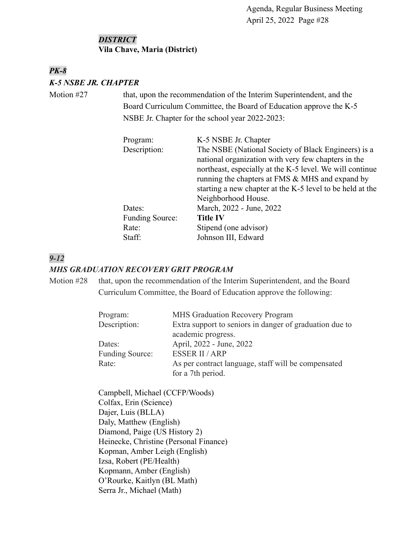#### *DISTRICT* **Vila Chave, Maria (District)**

# *PK-8 K-5 NSBE JR. CHAPTER*

Motion #27 that, upon the recommendation of the Interim Superintendent, and the Board Curriculum Committee, the Board of Education approve the K-5 NSBE Jr. Chapter for the school year 2022-2023:

| K-5 NSBE Jr. Chapter                                      |
|-----------------------------------------------------------|
| The NSBE (National Society of Black Engineers) is a       |
| national organization with very few chapters in the       |
| northeast, especially at the K-5 level. We will continue  |
| running the chapters at FMS & MHS and expand by           |
| starting a new chapter at the K-5 level to be held at the |
| Neighborhood House.                                       |
| March, 2022 - June, 2022                                  |
| <b>Title IV</b>                                           |
| Stipend (one advisor)                                     |
| Johnson III, Edward                                       |
|                                                           |

# *9-12*

#### *MHS GRADUATION RECOVERY GRIT PROGRAM*

Motion #28 that, upon the recommendation of the Interim Superintendent, and the Board Curriculum Committee, the Board of Education approve the following:

| Program:               | <b>MHS Graduation Recovery Program</b>                  |  |
|------------------------|---------------------------------------------------------|--|
| Description:           | Extra support to seniors in danger of graduation due to |  |
|                        | academic progress.                                      |  |
| Dates:                 | April, 2022 - June, 2022                                |  |
| <b>Funding Source:</b> | <b>ESSER II / ARP</b>                                   |  |
| Rate:                  | As per contract language, staff will be compensated     |  |
|                        | for a 7th period.                                       |  |

Campbell, Michael (CCFP/Woods) Colfax, Erin (Science) Dajer, Luis (BLLA) Daly, Matthew (English) Diamond, Paige (US History 2) Heinecke, Christine (Personal Finance) Kopman, Amber Leigh (English) Izsa, Robert (PE/Health) Kopmann, Amber (English) O'Rourke, Kaitlyn (BL Math) Serra Jr., Michael (Math)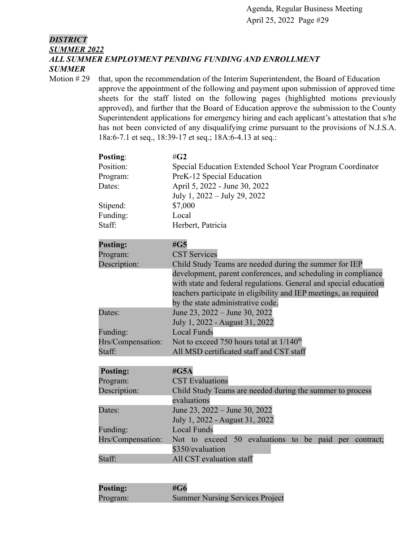#### *DISTRICT SUMMER 2022 ALL SUMMER EMPLOYMENT PENDING FUNDING AND ENROLLMENT SUMMER*

Motion #29 that, upon the recommendation of the Interim Superintendent, the Board of Education approve the appointment of the following and payment upon submission of approved time sheets for the staff listed on the following pages (highlighted motions previously approved), and further that the Board of Education approve the submission to the County Superintendent applications for emergency hiring and each applicant's attestation that s/he has not been convicted of any disqualifying crime pursuant to the provisions of N.J.S.A. 18a:6-7.1 et seq., 18:39-17 et seq.; 18A:6-4.13 at seq.:

| Posting:          | $\#G2$                                                            |  |
|-------------------|-------------------------------------------------------------------|--|
| Position:         | Special Education Extended School Year Program Coordinator        |  |
| Program:          | PreK-12 Special Education                                         |  |
| Dates:            | April 5, 2022 - June 30, 2022                                     |  |
|                   | July 1, 2022 – July 29, 2022                                      |  |
| Stipend:          | \$7,000                                                           |  |
| Funding:          | Local                                                             |  |
| Staff:            | Herbert, Patricia                                                 |  |
| <b>Posting:</b>   | #G5                                                               |  |
| Program:          | <b>CST Services</b>                                               |  |
| Description:      | Child Study Teams are needed during the summer for IEP            |  |
|                   | development, parent conferences, and scheduling in compliance     |  |
|                   | with state and federal regulations. General and special education |  |
|                   | teachers participate in eligibility and IEP meetings, as required |  |
|                   | by the state administrative code.                                 |  |
| Dates:            | June 23, 2022 – June 30, 2022                                     |  |
|                   | July 1, 2022 - August 31, 2022                                    |  |
| Funding:          | <b>Local Funds</b>                                                |  |
| Hrs/Compensation: | Not to exceed 750 hours total at $1/140^{th}$                     |  |
| Staff:            | All MSD certificated staff and CST staff                          |  |
| <b>Posting:</b>   | # $G5A$                                                           |  |
| Program:          | <b>CST</b> Evaluations                                            |  |
| Description:      | Child Study Teams are needed during the summer to process         |  |
|                   | evaluations                                                       |  |
| Dates:            | June 23, 2022 – June 30, 2022                                     |  |
|                   | July 1, 2022 - August 31, 2022                                    |  |
| Funding:          | <b>Local Funds</b>                                                |  |
| Hrs/Compensation: | Not to exceed 50 evaluations to<br>be paid<br>per contract;       |  |
|                   | \$350/evaluation                                                  |  |
| Staff:            | All CST evaluation staff                                          |  |
|                   |                                                                   |  |

| <b>Posting:</b> | #G6                                    |
|-----------------|----------------------------------------|
| Program:        | <b>Summer Nursing Services Project</b> |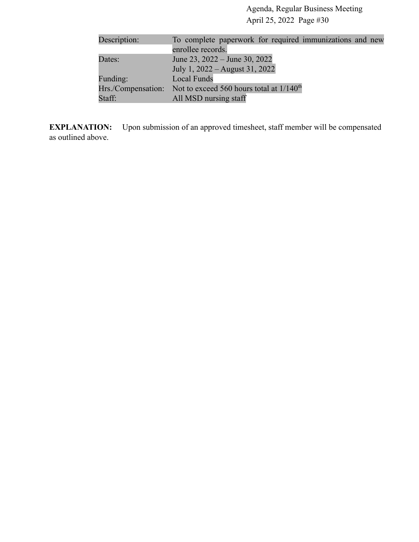| Description: | To complete paperwork for required immunizations and new         |
|--------------|------------------------------------------------------------------|
|              | enrollee records.                                                |
| Dates:       | June 23, $2022 -$ June 30, 2022                                  |
|              | July 1, 2022 – August 31, 2022                                   |
| Funding:     | <b>Local Funds</b>                                               |
|              | Hrs./Compensation: Not to exceed 560 hours total at $1/140^{th}$ |
| Staff:       | All MSD nursing staff                                            |

**EXPLANATION:** Upon submission of an approved timesheet, staff member will be compensated as outlined above.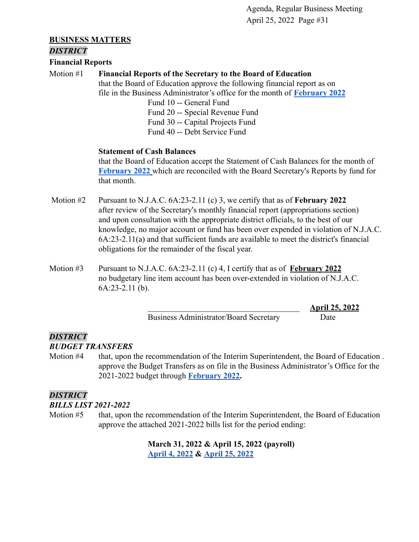#### **BUSINESS MATTERS**

#### *DISTRICT*

**Financial Reports**

#### Motion #1 **Financial Reports of the Secretary to the Board of Education**

that the Board of Education approve the following financial report as on file in the Business Administrator's office for the month of **[February 2022](https://drive.google.com/file/d/1_U3Hto9QK3w9lu67Qs_TOmLvAGY_bb9n/view?usp=sharing)**

> Fund 10 -- General Fund Fund 20 -- Special Revenue Fund Fund 30 -- Capital Projects Fund Fund 40 -- Debt Service Fund

#### **Statement of Cash Balances**

that the Board of Education accept the Statement of Cash Balances for the month of **[February 2022](https://drive.google.com/file/d/1TMJvxccJTCwWBQnq8_rcQ1DyJc23btC1/view?usp=sharing)** which are reconciled with the Board Secretary's Reports by fund for that month.

- Motion #2 Pursuant to N.J.A.C. 6A:23-2.11 (c) 3, we certify that as of **February 2022** after review of the Secretary's monthly financial report (appropriations section) and upon consultation with the appropriate district officials, to the best of our knowledge, no major account or fund has been over expended in violation of N.J.A.C. 6A:23-2.11(a) and that sufficient funds are available to meet the district's financial obligations for the remainder of the fiscal year.
- Motion #3 Pursuant to N.J.A.C. 6A:23-2.11 (c) 4, I certify that as of **February 2022** no budgetary line item account has been over-extended in violation of N.J.A.C. 6A:23-2.11 (b).

Business Administrator/Board Secretary Date

\_\_\_\_\_\_\_\_\_\_\_\_\_\_\_\_\_\_\_\_\_\_\_\_\_\_\_\_\_\_\_\_\_\_\_\_\_ **April 25, 2022**

# *DISTRICT*

*BUDGET TRANSFERS*

Motion #4 that, upon the recommendation of the Interim Superintendent, the Board of Education . approve the Budget Transfers as on file in the Business Administrator's Office for the 2021-2022 budget through **[February 2022.](https://drive.google.com/file/d/1-lZpbHWOGPJ4xhaiGXqDmkXZhPQJasw1/view?usp=sharing)**

# *DISTRICT*

*BILLS LIST 2021-2022*

Motion #5 that, upon the recommendation of the Interim Superintendent, the Board of Education approve the attached 2021-2022 bills list for the period ending:

> **March 31, 2022 & April 15, 2022 (payroll) [April 4, 2022](https://drive.google.com/file/d/1Gd3wi6fAurqlVQQ5iF4T79GslMTdoKaJ/view?usp=sharing) & [April 25, 2022](https://drive.google.com/file/d/1pkBJyjPuVJnDL3602kP3Xit01F0shLl5/view?usp=sharing)**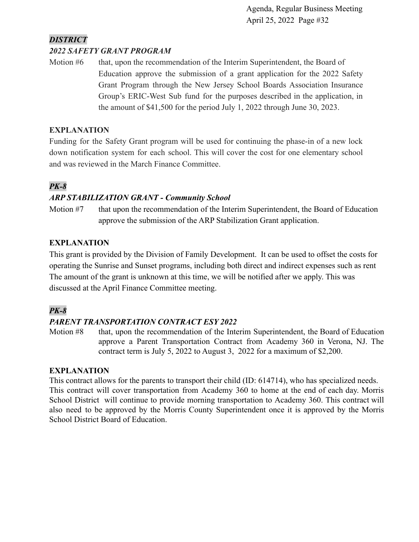# *DISTRICT*

#### *2022 SAFETY GRANT PROGRAM*

Motion #6 that, upon the recommendation of the Interim Superintendent, the Board of Education approve the submission of a grant application for the 2022 Safety Grant Program through the New Jersey School Boards Association Insurance Group's ERIC-West Sub fund for the purposes described in the application, in the amount of \$41,500 for the period July 1, 2022 through June 30, 2023.

#### **EXPLANATION**

Funding for the Safety Grant program will be used for continuing the phase-in of a new lock down notification system for each school. This will cover the cost for one elementary school and was reviewed in the March Finance Committee.

# *PK-8*

# *ARP STABILIZATION GRANT - Community School*

Motion #7 that upon the recommendation of the Interim Superintendent, the Board of Education approve the submission of the ARP Stabilization Grant application.

# **EXPLANATION**

This grant is provided by the Division of Family Development. It can be used to offset the costs for operating the Sunrise and Sunset programs, including both direct and indirect expenses such as rent The amount of the grant is unknown at this time, we will be notified after we apply. This was discussed at the April Finance Committee meeting.

# *PK-8*

# *PARENT TRANSPORTATION CONTRACT ESY 2022*

Motion #8 that, upon the recommendation of the Interim Superintendent, the Board of Education approve a Parent Transportation Contract from Academy 360 in Verona, NJ. The contract term is July 5, 2022 to August 3, 2022 for a maximum of \$2,200.

#### **EXPLANATION**

This contract allows for the parents to transport their child (ID: 614714), who has specialized needs. This contract will cover transportation from Academy 360 to home at the end of each day. Morris School District will continue to provide morning transportation to Academy 360. This contract will also need to be approved by the Morris County Superintendent once it is approved by the Morris School District Board of Education.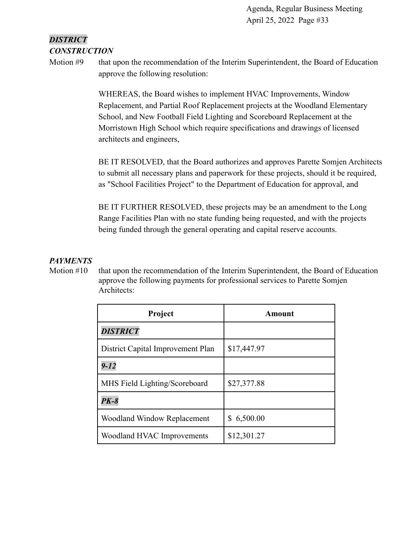# *DISTRICT CONSTRUCTION*

Motion #9 that upon the recommendation of the Interim Superintendent, the Board of Education approve the following resolution:

> WHEREAS, the Board wishes to implement HVAC Improvements, Window Replacement, and Partial Roof Replacement projects at the Woodland Elementary School, and New Football Field Lighting and Scoreboard Replacement at the Morristown High School which require specifications and drawings of licensed architects and engineers,

BE IT RESOLVED, that the Board authorizes and approves Parette Somjen Architects to submit all necessary plans and paperwork for these projects, should it be required, as "School Facilities Project" to the Department of Education for approval, and

BE IT FURTHER RESOLVED, these projects may be an amendment to the Long Range Facilities Plan with no state funding being requested, and with the projects being funded through the general operating and capital reserve accounts.

# *PAYMENTS*

Motion #10 that upon the recommendation of the Interim Superintendent, the Board of Education approve the following payments for professional services to Parette Somjen Architects:

| Project                           | Amount        |  |  |
|-----------------------------------|---------------|--|--|
| <b>DISTRICT</b>                   |               |  |  |
| District Capital Improvement Plan | \$17,447.97   |  |  |
| $9 - 12$                          |               |  |  |
| MHS Field Lighting/Scoreboard     | \$27,377.88   |  |  |
| $PK-8$                            |               |  |  |
| Woodland Window Replacement       | 6,500.00<br>S |  |  |
| Woodland HVAC Improvements        | \$12,301.27   |  |  |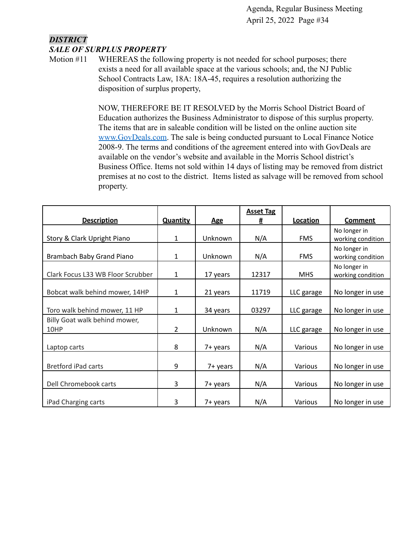#### *DISTRICT SALE OF SURPLUS PROPERTY*

Motion #11 WHEREAS the following property is not needed for school purposes; there exists a need for all available space at the various schools; and, the NJ Public School Contracts Law, 18A: 18A-45, requires a resolution authorizing the disposition of surplus property,

> NOW, THEREFORE BE IT RESOLVED by the Morris School District Board of Education authorizes the Business Administrator to dispose of this surplus property. The items that are in saleable condition will be listed on the online auction site [www.GovDeals.com.](http://www.govdeals.com) The sale is being conducted pursuant to Local Finance Notice 2008-9. The terms and conditions of the agreement entered into with GovDeals are available on the vendor's website and available in the Morris School district's Business Office. Items not sold within 14 days of listing may be removed from district premises at no cost to the district. Items listed as salvage will be removed from school property.

|                                       |                 |            | <b>Asset Tag</b> |            |                                   |
|---------------------------------------|-----------------|------------|------------------|------------|-----------------------------------|
| <b>Description</b>                    | <b>Quantity</b> | <b>Age</b> | #                | Location   | <b>Comment</b>                    |
| Story & Clark Upright Piano           | 1               | Unknown    | N/A              | <b>FMS</b> | No longer in<br>working condition |
| Brambach Baby Grand Piano             | 1               | Unknown    | N/A              | <b>FMS</b> | No longer in<br>working condition |
| Clark Focus L33 WB Floor Scrubber     | $\mathbf{1}$    | 17 years   | 12317            | <b>MHS</b> | No longer in<br>working condition |
| Bobcat walk behind mower, 14HP        | $\mathbf{1}$    | 21 years   | 11719            | LLC garage | No longer in use                  |
| Toro walk behind mower, 11 HP         | 1               | 34 years   | 03297            | LLC garage | No longer in use                  |
| Billy Goat walk behind mower,<br>10HP | $\overline{2}$  | Unknown    | N/A              | LLC garage | No longer in use                  |
| Laptop carts                          | 8               | 7+ years   | N/A              | Various    | No longer in use                  |
| <b>Bretford iPad carts</b>            | 9               | 7+ years   | N/A              | Various    | No longer in use                  |
| Dell Chromebook carts                 | 3               | 7+ years   | N/A              | Various    | No longer in use                  |
| iPad Charging carts                   | 3               | 7+ years   | N/A              | Various    | No longer in use                  |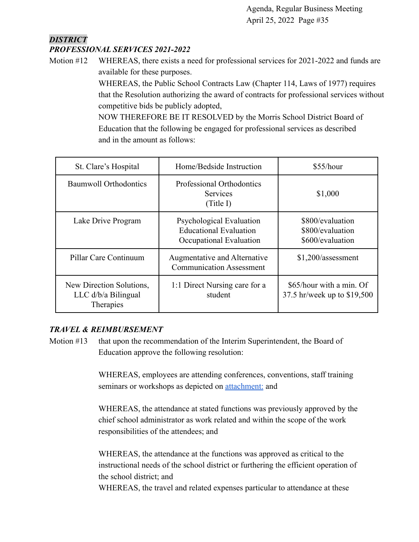#### *DISTRICT PROFESSIONAL SERVICES 2021-2022*

Motion #12 WHEREAS, there exists a need for professional services for 2021-2022 and funds are available for these purposes.

> WHEREAS, the Public School Contracts Law (Chapter 114, Laws of 1977) requires that the Resolution authorizing the award of contracts for professional services without competitive bids be publicly adopted,

NOW THEREFORE BE IT RESOLVED by the Morris School District Board of Education that the following be engaged for professional services as described and in the amount as follows:

| St. Clare's Hospital                                           | Home/Bedside Instruction                                                             | \$55/hour                                                |
|----------------------------------------------------------------|--------------------------------------------------------------------------------------|----------------------------------------------------------|
| <b>Baumwoll Orthodontics</b>                                   | Professional Orthodontics<br><b>Services</b><br>(Title I)                            | \$1,000                                                  |
| Lake Drive Program                                             | Psychological Evaluation<br><b>Educational Evaluation</b><br>Occupational Evaluation | \$800/evaluation<br>\$800/evaluation<br>\$600/evaluation |
| Pillar Care Continuum                                          | Augmentative and Alternative<br><b>Communication Assessment</b>                      | $$1,200/$ assessment                                     |
| New Direction Solutions,<br>$LLC$ d/b/a Bilingual<br>Therapies | 1:1 Direct Nursing care for a<br>student                                             | \$65/hour with a min. Of<br>37.5 hr/week up to \$19,500  |

# *TRAVEL & REIMBURSEMENT*

Motion #13 that upon the recommendation of the Interim Superintendent, the Board of Education approve the following resolution:

> WHEREAS, employees are attending conferences, conventions, staff training seminars or workshops as depicted on **attachment**: and

WHEREAS, the attendance at stated functions was previously approved by the chief school administrator as work related and within the scope of the work responsibilities of the attendees; and

WHEREAS, the attendance at the functions was approved as critical to the instructional needs of the school district or furthering the efficient operation of the school district; and

WHEREAS, the travel and related expenses particular to attendance at these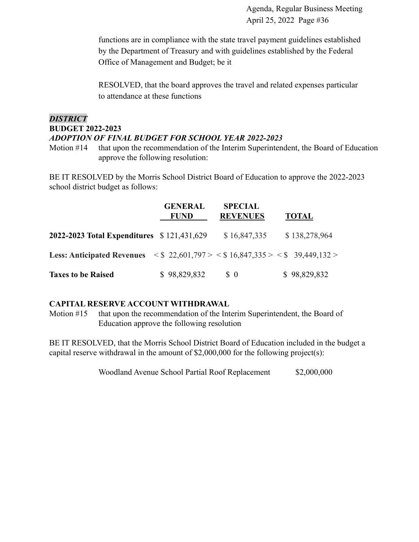functions are in compliance with the state travel payment guidelines established by the Department of Treasury and with guidelines established by the Federal Office of Management and Budget; be it

RESOLVED, that the board approves the travel and related expenses particular to attendance at these functions

# *DISTRICT* **BUDGET 2022-2023** *ADOPTION OF FINAL BUDGET FOR SCHOOL YEAR 2022-2023*

Motion #14 that upon the recommendation of the Interim Superintendent, the Board of Education approve the following resolution:

BE IT RESOLVED by the Morris School District Board of Education to approve the 2022-2023 school district budget as follows:

|                                                                                                                               | <b>GENERAL</b><br><b>FUND</b> | <b>SPECIAL</b><br><b>REVENUES</b> | <b>TOTAL</b>  |
|-------------------------------------------------------------------------------------------------------------------------------|-------------------------------|-----------------------------------|---------------|
| 2022-2023 Total Expenditures \$121,431,629                                                                                    |                               | \$16,847,335                      | \$138,278,964 |
| <b>Less: Anticipated Revenues</b> $\langle \$ 22,601,797 \rangle \langle \$ 16,847,335 \rangle \langle \$ 39,449,132 \rangle$ |                               |                                   |               |
| <b>Taxes to be Raised</b>                                                                                                     | \$98,829,832                  | $\Omega$                          | \$98,829,832  |

#### **CAPITAL RESERVE ACCOUNT WITHDRAWAL**

Motion #15 that upon the recommendation of the Interim Superintendent, the Board of Education approve the following resolution

BE IT RESOLVED, that the Morris School District Board of Education included in the budget a capital reserve withdrawal in the amount of \$2,000,000 for the following project(s):

Woodland Avenue School Partial Roof Replacement \$2,000,000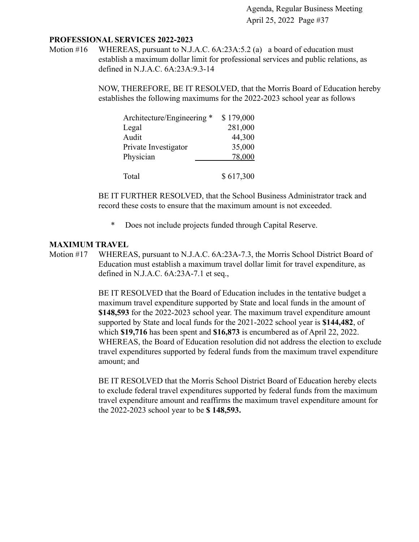#### **PROFESSIONAL SERVICES 2022-2023**

Motion #16 WHEREAS, pursuant to N.J.A.C. 6A:23A:5.2 (a) a board of education must establish a maximum dollar limit for professional services and public relations, as defined in N.J.A.C. 6A:23A:9.3-14

> NOW, THEREFORE, BE IT RESOLVED, that the Morris Board of Education hereby establishes the following maximums for the 2022-2023 school year as follows

| Architecture/Engineering * | \$179,000 |
|----------------------------|-----------|
| Legal                      | 281,000   |
| Audit                      | 44,300    |
| Private Investigator       | 35,000    |
| Physician                  | 78,000    |
|                            |           |
| Total                      | \$617,300 |

BE IT FURTHER RESOLVED, that the School Business Administrator track and record these costs to ensure that the maximum amount is not exceeded.

\* Does not include projects funded through Capital Reserve.

#### **MAXIMUM TRAVEL**

Motion #17 WHEREAS, pursuant to N.J.A.C. 6A:23A-7.3, the Morris School District Board of Education must establish a maximum travel dollar limit for travel expenditure, as defined in N.J.A.C. 6A:23A-7.1 et seq.,

> BE IT RESOLVED that the Board of Education includes in the tentative budget a maximum travel expenditure supported by State and local funds in the amount of **\$148,593** for the 2022-2023 school year. The maximum travel expenditure amount supported by State and local funds for the 2021-2022 school year is **\$144,482**, of which **\$19,716** has been spent and **\$16,873** is encumbered as of April 22, 2022. WHEREAS, the Board of Education resolution did not address the election to exclude travel expenditures supported by federal funds from the maximum travel expenditure amount; and

BE IT RESOLVED that the Morris School District Board of Education hereby elects to exclude federal travel expenditures supported by federal funds from the maximum travel expenditure amount and reaffirms the maximum travel expenditure amount for the 2022-2023 school year to be **\$ 148,593.**